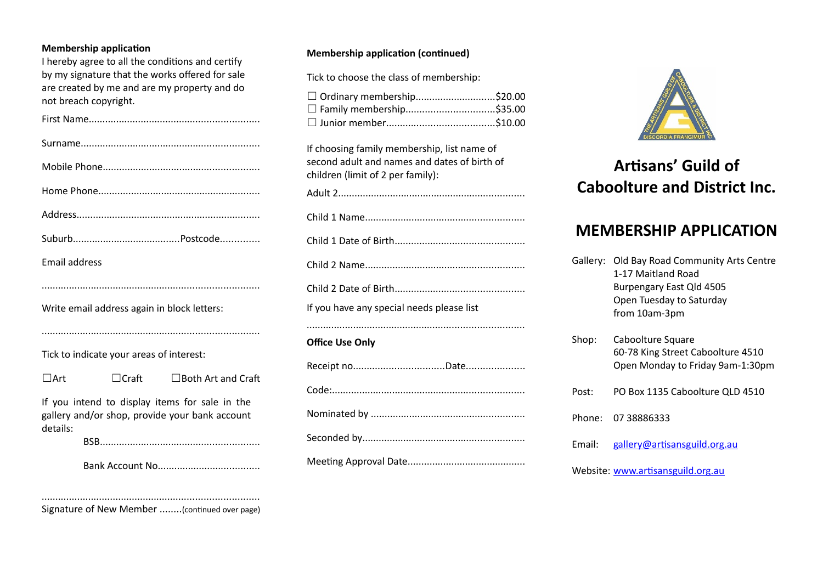#### **Membership application**

I hereby agree to all the conditions and certify by my signature that the works offered for sale are created by me and are my property and do not breach copyright.

| Email address                                                                                                |              |                           |  |
|--------------------------------------------------------------------------------------------------------------|--------------|---------------------------|--|
|                                                                                                              |              |                           |  |
| Write email address again in block letters:                                                                  |              |                           |  |
|                                                                                                              |              |                           |  |
| Tick to indicate your areas of interest:                                                                     |              |                           |  |
| $\Box$ Art                                                                                                   | $\Box$ Craft | $\Box$ Both Art and Craft |  |
| If you intend to display items for sale in the<br>gallery and/or shop, provide your bank account<br>details: |              |                           |  |
|                                                                                                              |              |                           |  |

Bank Account No.....................................

## **Membership application (continued)**

Tick to choose the class of membership:

| □ Ordinary membership\$20.00 |  |
|------------------------------|--|
| □ Family membership\$35.00   |  |
|                              |  |

If choosing family membership, list name of second adult and names and dates of birth of children (limit of 2 per family):

Adult 2.................................................................... Child 1 Name.......................................................... Child 1 Date of Birth............................................... Child 2 Name.......................................................... Child 2 Date of Birth............................................... If you have any special needs please list ............................................................................... **Office Use Only** Receipt no.................................Date..................... Code:...................................................................... Nominated by ........................................................ Seconded by........................................................... Meeting Approval Date...........................................



# **Artisans' Guild of Caboolture and District Inc.**

# **MEMBERSHIP APPLICATION**

Gallery: Old Bay Road Community Arts Centre 1-17 Maitland Road Burpengary East Qld 4505 Open Tuesday to Saturday from 10am-3pm

Shop: Caboolture Square 60-78 King Street Caboolture 4510 Open Monday to Friday 9am-1:30pm Post: PO Box 1135 Caboolture QLD 4510 Phone: 07 38886333 Email: [gallery@artisansguild.org.au](mailto:gallery@artisansguild.org.au)

Website: [www.artisansguild.org.au](http://www.artisansguild.org.au/)

Signature of New Member ........(continued over page)

...............................................................................